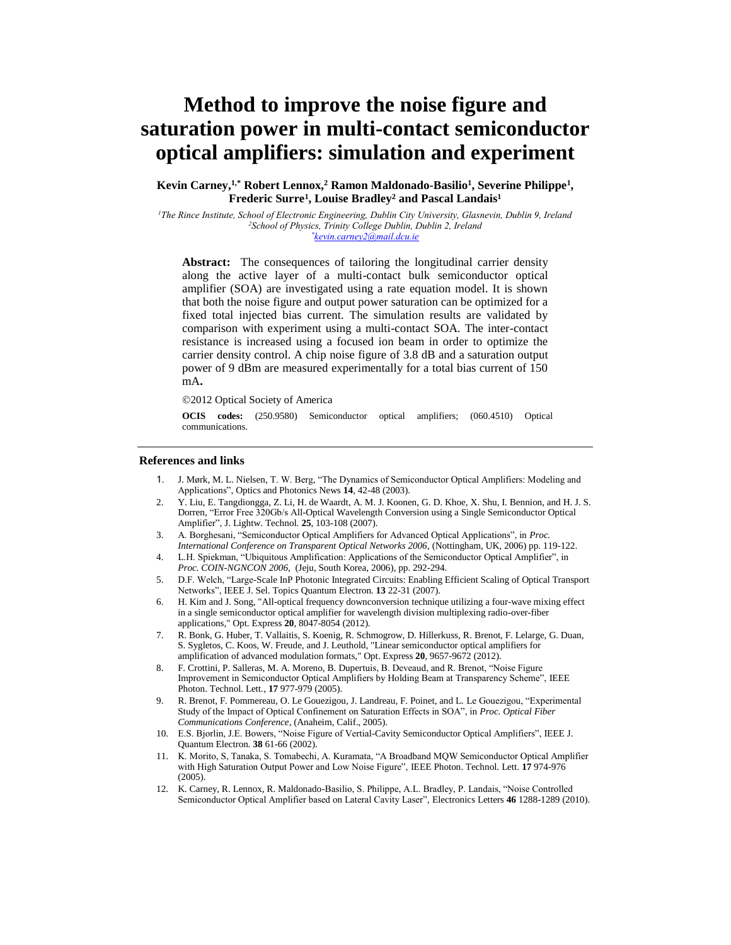# **Method to improve the noise figure and saturation power in multi-contact semiconductor optical amplifiers: simulation and experiment**

# **Kevin Carney, 1,\* Robert Lennox, <sup>2</sup> Ramon Maldonado-Basilio<sup>1</sup> , Severine Philippe<sup>1</sup> , Frederic Surre<sup>1</sup> , Louise Bradley<sup>2</sup> and Pascal Landais<sup>1</sup>**

*<sup>1</sup>The Rince Institute, School of Electronic Engineering, Dublin City University, Glasnevin, Dublin 9, Ireland <sup>2</sup>School of Physics, Trinity College Dublin, Dublin 2, Ireland \*kevin.carney2@mail.dcu.ie*

**Abstract:** The consequences of tailoring the longitudinal carrier density along the active layer of a multi-contact bulk semiconductor optical amplifier (SOA) are investigated using a rate equation model. It is shown that both the noise figure and output power saturation can be optimized for a fixed total injected bias current. The simulation results are validated by comparison with experiment using a multi-contact SOA. The inter-contact resistance is increased using a focused ion beam in order to optimize the carrier density control. A chip noise figure of 3.8 dB and a saturation output power of 9 dBm are measured experimentally for a total bias current of 150 mA**.**

2012 Optical Society of America

**OCIS codes:** (250.9580) Semiconductor optical amplifiers; (060.4510) Optical communications.

### **References and links**

- 1. J. Mørk, M. L. Nielsen, T. W. Berg, "The Dynamics of Semiconductor Optical Amplifiers: Modeling and Applications", Optics and Photonics News **14**, 42-48 (2003).
- 2. Y. Liu, E. Tangdiongga, Z. Li, H. de Waardt, A. M. J. Koonen, G. D. Khoe, X. Shu, I. Bennion, and H. J. S. Dorren, "Error Free 320Gb/s All-Optical Wavelength Conversion using a Single Semiconductor Optical Amplifier", J. Lightw. Technol*.* **25**, 103-108 (2007).
- 3. A. Borghesani, "Semiconductor Optical Amplifiers for Advanced Optical Applications", in *Proc. International Conference on Transparent Optical Networks 2006*, (Nottingham, UK, 2006) pp. 119-122.
- 4. L.H. Spiekman, "Ubiquitous Amplification: Applications of the Semiconductor Optical Amplifier", in *Proc. COIN-NGNCON 2006*, (Jeju, South Korea, 2006), pp. 292-294.
- 5. D.F. Welch, "Large-Scale InP Photonic Integrated Circuits: Enabling Efficient Scaling of Optical Transport Networks", IEEE J. Sel. Topics Quantum Electron*.* **13** 22-31 (2007).
- 6. H. Kim and J. Song, "All-optical frequency downconversion technique utilizing a four-wave mixing effect in a single semiconductor optical amplifier for wavelength division multiplexing radio-over-fiber applications," Opt. Express **20**, 8047-8054 (2012).
- 7. R. Bonk, G. Huber, T. Vallaitis, S. Koenig, R. Schmogrow, D. Hillerkuss, R. Brenot, F. Lelarge, G. Duan, S. Sygletos, C. Koos, W. Freude, and J. Leuthold, "Linear semiconductor optical amplifiers for amplification of advanced modulation formats," Opt. Express **20**, 9657-9672 (2012).
- 8. F. Crottini, P. Salleras, M. A. Moreno, B. Dupertuis, B. Deveaud, and R. Brenot, "Noise Figure Improvement in Semiconductor Optical Amplifiers by Holding Beam at Transparency Scheme", IEEE Photon. Technol. Lett*.*, **17** 977-979 (2005).
- 9. R. Brenot, F. Pommereau, O. Le Gouezigou, J. Landreau, F. Poinet, and L. Le Gouezigou, "Experimental Study of the Impact of Optical Confinement on Saturation Effects in SOA", in *Proc. Optical Fiber Communications Conference*, (Anaheim, Calif., 2005).
- 10. E.S. Bjorlin, J.E. Bowers, "Noise Figure of Vertial-Cavity Semiconductor Optical Amplifiers", IEEE J. Quantum Electron*.* **38** 61-66 (2002).
- 11. K. Morito, S, Tanaka, S. Tomabechi, A. Kuramata, "A Broadband MQW Semiconductor Optical Amplifier with High Saturation Output Power and Low Noise Figure", IEEE Photon. Technol. Lett*.* **17** 974-976 (2005).
- 12. K. Carney, R. Lennox, R. Maldonado-Basilio, S. Philippe, A.L. Bradley, P. Landais, "Noise Controlled Semiconductor Optical Amplifier based on Lateral Cavity Laser", Electronics Letters **46** 1288-1289 (2010).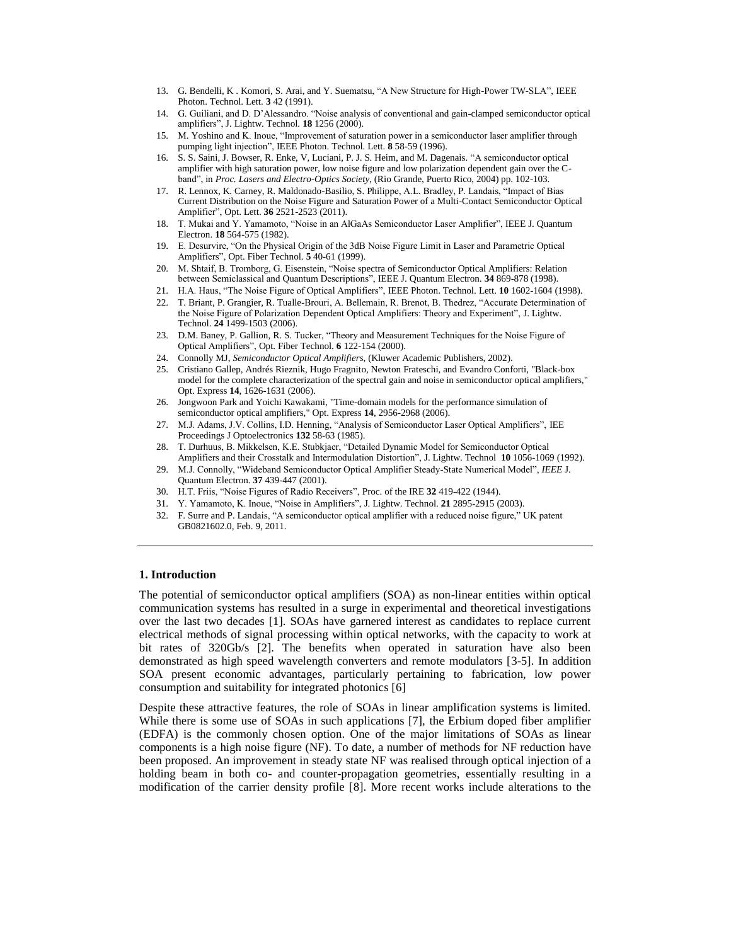- 13. G. Bendelli, K . Komori, S. Arai, and Y. Suematsu, "A New Structure for High-Power TW-SLA", IEEE Photon. Technol. Lett. **3** 42 (1991).
- 14. G. Guiliani, and D. D'Alessandro. "Noise analysis of conventional and gain-clamped semiconductor optical amplifiers", J. Lightw. Technol*.* **18** 1256 (2000).
- 15. M. Yoshino and K. Inoue, "Improvement of saturation power in a semiconductor laser amplifier through pumping light injection", IEEE Photon. Technol. Lett*.* **8** 58-59 (1996).
- 16. S. S. Saini, J. Bowser, R. Enke, V, Luciani, P. J. S. Heim, and M. Dagenais. "A semiconductor optical amplifier with high saturation power, low noise figure and low polarization dependent gain over the Cband", in *Proc. Lasers and Electro-Optics Society*, (Rio Grande, Puerto Rico, 2004) pp. 102-103.
- 17. R. Lennox, K. Carney, R. Maldonado-Basilio, S. Philippe, A.L. Bradley, P. Landais, "Impact of Bias Current Distribution on the Noise Figure and Saturation Power of a Multi-Contact Semiconductor Optical Amplifier", Opt. Lett. **36** 2521-2523 (2011).
- 18. T. Mukai and Y. Yamamoto, "Noise in an AlGaAs Semiconductor Laser Amplifier", IEEE J. Quantum Electron. **18** 564-575 (1982).
- 19. E. Desurvire, "On the Physical Origin of the 3dB Noise Figure Limit in Laser and Parametric Optical Amplifiers", Opt. Fiber Technol. **5** 40-61 (1999).
- 20. M. Shtaif, B. Tromborg, G. Eisenstein, "Noise spectra of Semiconductor Optical Amplifiers: Relation between Semiclassical and Quantum Descriptions", IEEE J. Quantum Electron*.* **34** 869-878 (1998).
- 21. H.A. Haus, "The Noise Figure of Optical Amplifiers", IEEE Photon. Technol. Lett. **10** 1602-1604 (1998).
- 22. T. Briant, P. Grangier, R. Tualle-Brouri, A. Bellemain, R. Brenot, B. Thedrez, "Accurate Determination of the Noise Figure of Polarization Dependent Optical Amplifiers: Theory and Experiment", J. Lightw. Technol. **24** 1499-1503 (2006).
- 23. D.M. Baney, P. Gallion, R. S. Tucker, "Theory and Measurement Techniques for the Noise Figure of Optical Amplifiers", Opt. Fiber Technol. **6** 122-154 (2000).
- 24. Connolly MJ, *Semiconductor Optical Amplifiers,* (Kluwer Academic Publishers, 2002).
- 25. Cristiano Gallep, Andrés Rieznik, Hugo Fragnito, Newton Frateschi, and Evandro Conforti, "Black-box model for the complete characterization of the spectral gain and noise in semiconductor optical amplifiers," Opt. Express **14**, 1626-1631 (2006).
- 26. Jongwoon Park and Yoichi Kawakami, "Time-domain models for the performance simulation of semiconductor optical amplifiers," Opt. Express **14**, 2956-2968 (2006).
- 27. M.J. Adams, J.V. Collins, I.D. Henning, "Analysis of Semiconductor Laser Optical Amplifiers", IEE Proceedings J Optoelectronics **132** 58-63 (1985).
- 28. T. Durhuus, B. Mikkelsen, K.E. Stubkjaer, "Detailed Dynamic Model for Semiconductor Optical Amplifiers and their Crosstalk and Intermodulation Distortion", J. Lightw. Technol **10** 1056-1069 (1992).
- 29. M.J. Connolly, "Wideband Semiconductor Optical Amplifier Steady-State Numerical Model", *IEEE* J. Quantum Electron. **37** 439-447 (2001).
- 30. H.T. Friis, "Noise Figures of Radio Receivers", Proc. of the IRE **32** 419-422 (1944).
- 31. Y. Yamamoto, K. Inoue, "Noise in Amplifiers", J. Lightw. Technol. **21** 2895-2915 (2003).
- 32. F. Surre and P. Landais, "A semiconductor optical amplifier with a reduced noise figure," UK patent GB0821602.0, Feb. 9, 2011.

#### **1. Introduction**

The potential of semiconductor optical amplifiers (SOA) as non-linear entities within optical communication systems has resulted in a surge in experimental and theoretical investigations over the last two decades [1]. SOAs have garnered interest as candidates to replace current electrical methods of signal processing within optical networks, with the capacity to work at bit rates of 320Gb/s [2]. The benefits when operated in saturation have also been demonstrated as high speed wavelength converters and remote modulators [3-5]. In addition SOA present economic advantages, particularly pertaining to fabrication, low power consumption and suitability for integrated photonics [6]

Despite these attractive features, the role of SOAs in linear amplification systems is limited. While there is some use of SOAs in such applications [7], the Erbium doped fiber amplifier (EDFA) is the commonly chosen option. One of the major limitations of SOAs as linear components is a high noise figure (NF). To date, a number of methods for NF reduction have been proposed. An improvement in steady state NF was realised through optical injection of a holding beam in both co- and counter-propagation geometries, essentially resulting in a modification of the carrier density profile [8]. More recent works include alterations to the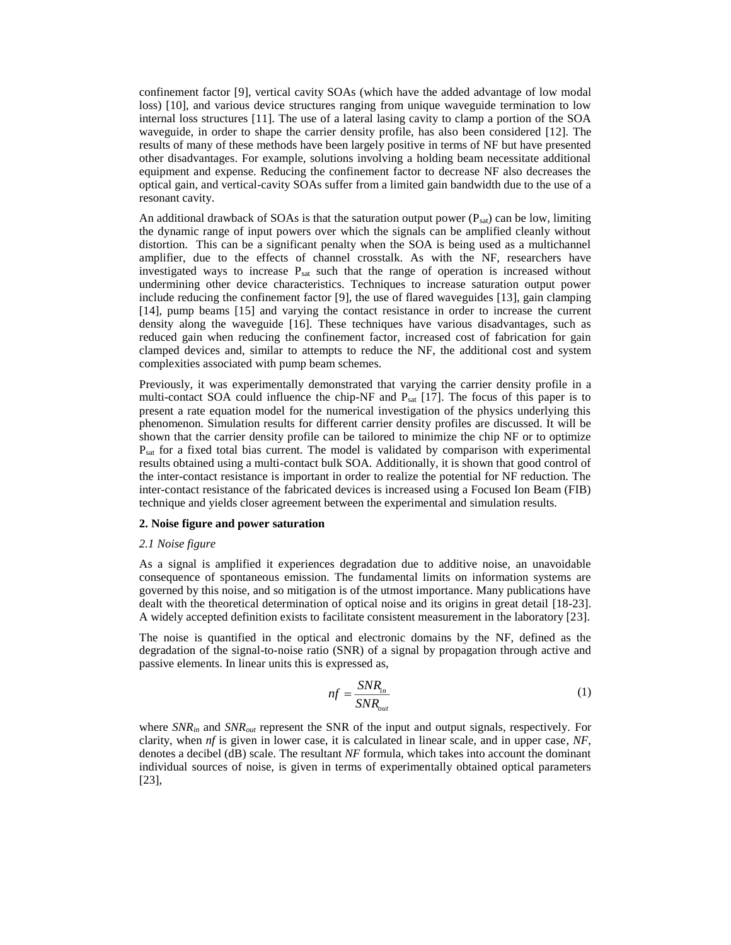confinement factor [9], vertical cavity SOAs (which have the added advantage of low modal loss) [10], and various device structures ranging from unique waveguide termination to low internal loss structures [11]. The use of a lateral lasing cavity to clamp a portion of the SOA waveguide, in order to shape the carrier density profile, has also been considered [12]. The results of many of these methods have been largely positive in terms of NF but have presented other disadvantages. For example, solutions involving a holding beam necessitate additional equipment and expense. Reducing the confinement factor to decrease NF also decreases the optical gain, and vertical-cavity SOAs suffer from a limited gain bandwidth due to the use of a resonant cavity.

An additional drawback of SOAs is that the saturation output power  $(P_{sat})$  can be low, limiting the dynamic range of input powers over which the signals can be amplified cleanly without distortion. This can be a significant penalty when the SOA is being used as a multichannel amplifier, due to the effects of channel crosstalk. As with the NF, researchers have investigated ways to increase Psat such that the range of operation is increased without undermining other device characteristics. Techniques to increase saturation output power include reducing the confinement factor [9], the use of flared waveguides [13], gain clamping [14], pump beams [15] and varying the contact resistance in order to increase the current density along the waveguide [16]. These techniques have various disadvantages, such as reduced gain when reducing the confinement factor, increased cost of fabrication for gain clamped devices and, similar to attempts to reduce the NF, the additional cost and system complexities associated with pump beam schemes.

Previously, it was experimentally demonstrated that varying the carrier density profile in a multi-contact SOA could influence the chip-NF and P<sub>sat</sub> [17]. The focus of this paper is to present a rate equation model for the numerical investigation of the physics underlying this phenomenon. Simulation results for different carrier density profiles are discussed. It will be shown that the carrier density profile can be tailored to minimize the chip NF or to optimize Psat for a fixed total bias current. The model is validated by comparison with experimental results obtained using a multi-contact bulk SOA. Additionally, it is shown that good control of the inter-contact resistance is important in order to realize the potential for NF reduction. The inter-contact resistance of the fabricated devices is increased using a Focused Ion Beam (FIB) technique and yields closer agreement between the experimental and simulation results.

## **2. Noise figure and power saturation**

#### *2.1 Noise figure*

As a signal is amplified it experiences degradation due to additive noise, an unavoidable consequence of spontaneous emission. The fundamental limits on information systems are governed by this noise, and so mitigation is of the utmost importance. Many publications have dealt with the theoretical determination of optical noise and its origins in great detail [18-23]. A widely accepted definition exists to facilitate consistent measurement in the laboratory [23].

The noise is quantified in the optical and electronic domains by the NF, defined as the degradation of the signal-to-noise ratio (SNR) of a signal by propagation through active and passive elements. In linear units this is expressed as,

$$
nf = \frac{SNR_{in}}{SNR_{out}} \tag{1}
$$

where *SNRin* and *SNRout* represent the SNR of the input and output signals, respectively. For clarity, when *nf* is given in lower case, it is calculated in linear scale, and in upper case, *NF*, denotes a decibel (dB) scale. The resultant *NF* formula, which takes into account the dominant individual sources of noise, is given in terms of experimentally obtained optical parameters [23],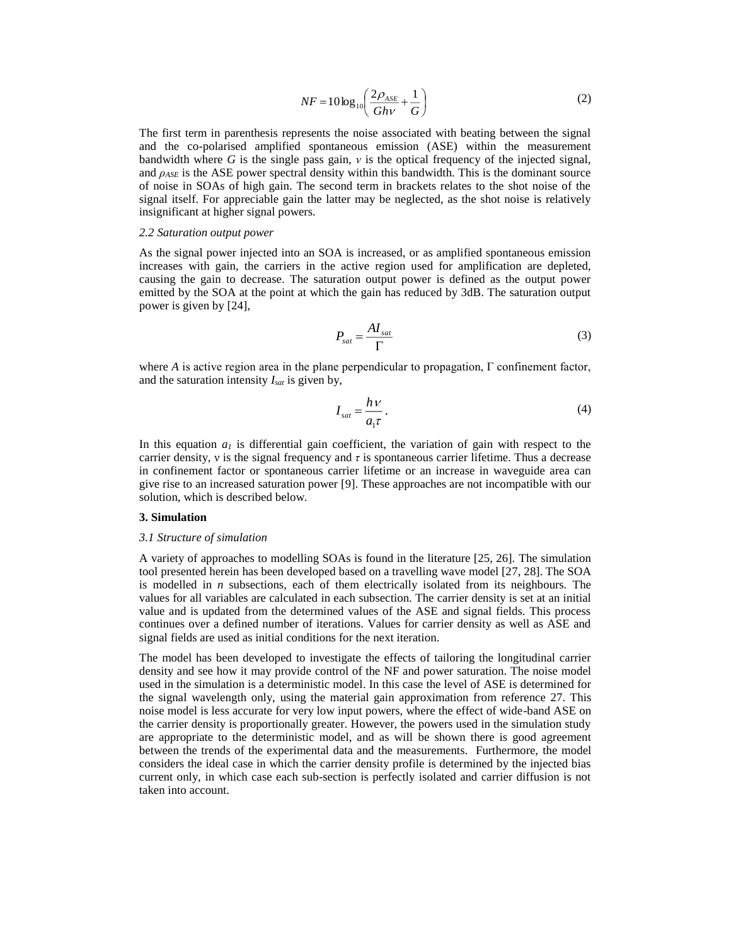$$
NF = 10 \log_{10} \left( \frac{2\rho_{ASE}}{Gh\nu} + \frac{1}{G} \right)
$$
 (2)

The first term in parenthesis represents the noise associated with beating between the signal and the co-polarised amplified spontaneous emission (ASE) within the measurement bandwidth where  $G$  is the single pass gain,  $\nu$  is the optical frequency of the injected signal, and *ρASE* is the ASE power spectral density within this bandwidth. This is the dominant source of noise in SOAs of high gain. The second term in brackets relates to the shot noise of the signal itself. For appreciable gain the latter may be neglected, as the shot noise is relatively insignificant at higher signal powers.

#### *2.2 Saturation output power*

As the signal power injected into an SOA is increased, or as amplified spontaneous emission increases with gain, the carriers in the active region used for amplification are depleted, causing the gain to decrease. The saturation output power is defined as the output power emitted by the SOA at the point at which the gain has reduced by 3dB. The saturation output power is given by [24],

$$
P_{sat} = \frac{AI_{sat}}{\Gamma} \tag{3}
$$

where *A* is active region area in the plane perpendicular to propagation, Γ confinement factor, and the saturation intensity *Isat* is given by,

$$
I_{sat} = \frac{h\,\nu}{a_1\tau} \,. \tag{4}
$$

In this equation  $a<sub>l</sub>$  is differential gain coefficient, the variation of gain with respect to the carrier density,  $\nu$  is the signal frequency and  $\tau$  is spontaneous carrier lifetime. Thus a decrease in confinement factor or spontaneous carrier lifetime or an increase in waveguide area can give rise to an increased saturation power [9]. These approaches are not incompatible with our solution, which is described below.

# **3. Simulation**

#### *3.1 Structure of simulation*

A variety of approaches to modelling SOAs is found in the literature [25, 26]. The simulation tool presented herein has been developed based on a travelling wave model [27, 28]. The SOA is modelled in *n* subsections, each of them electrically isolated from its neighbours. The values for all variables are calculated in each subsection. The carrier density is set at an initial value and is updated from the determined values of the ASE and signal fields. This process continues over a defined number of iterations. Values for carrier density as well as ASE and signal fields are used as initial conditions for the next iteration.

The model has been developed to investigate the effects of tailoring the longitudinal carrier density and see how it may provide control of the NF and power saturation. The noise model used in the simulation is a deterministic model. In this case the level of ASE is determined for the signal wavelength only, using the material gain approximation from reference 27. This noise model is less accurate for very low input powers, where the effect of wide-band ASE on the carrier density is proportionally greater. However, the powers used in the simulation study are appropriate to the deterministic model, and as will be shown there is good agreement between the trends of the experimental data and the measurements. Furthermore, the model considers the ideal case in which the carrier density profile is determined by the injected bias current only, in which case each sub-section is perfectly isolated and carrier diffusion is not taken into account.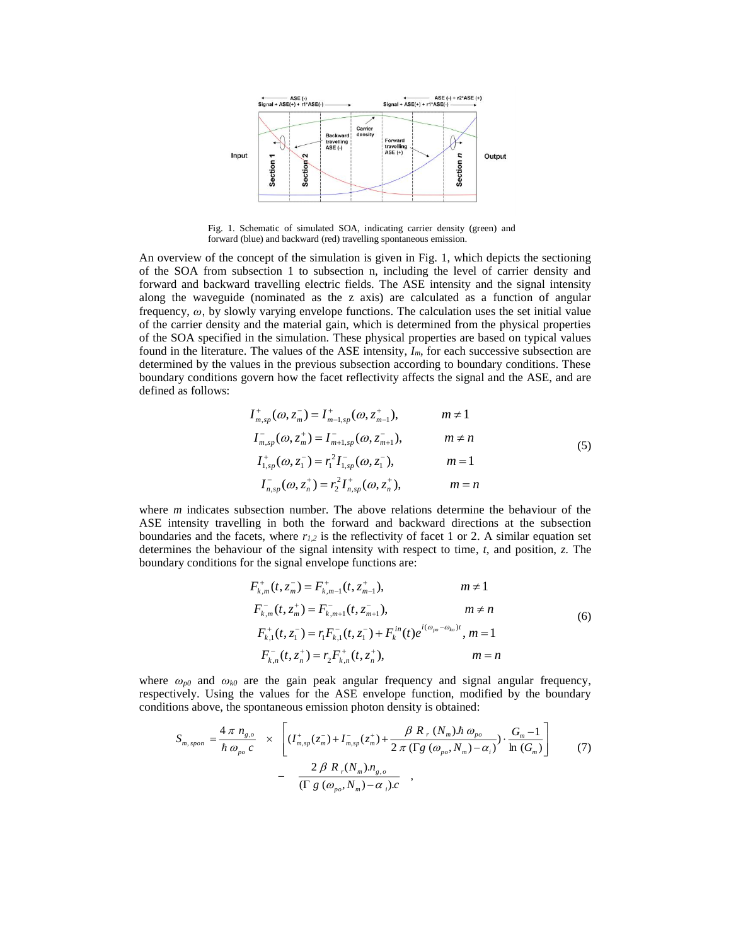

Fig. 1. Schematic of simulated SOA, indicating carrier density (green) and forward (blue) and backward (red) travelling spontaneous emission.

An overview of the concept of the simulation is given in Fig. 1, which depicts the sectioning of the SOA from subsection 1 to subsection n, including the level of carrier density and forward and backward travelling electric fields. The ASE intensity and the signal intensity along the waveguide (nominated as the z axis) are calculated as a function of angular frequency, *ω*, by slowly varying envelope functions. The calculation uses the set initial value of the carrier density and the material gain, which is determined from the physical properties of the SOA specified in the simulation. These physical properties are based on typical values found in the literature. The values of the ASE intensity, *Im*, for each successive subsection are determined by the values in the previous subsection according to boundary conditions. These boundary conditions govern how the facet reflectivity affects the signal and the ASE, and are defined as follows:

$$
I_{m,sp}^{+}(\omega, z_{m}^{-}) = I_{m-1,sp}^{+}(\omega, z_{m-1}^{+}), \qquad m \neq 1
$$
  
\n
$$
I_{m,sp}^{-}(\omega, z_{m}^{+}) = I_{m+1,sp}^{-}(\omega, z_{m+1}^{-}), \qquad m \neq n
$$
  
\n
$$
I_{1,sp}^{+}(\omega, z_{1}^{-}) = r_{1}^{2} I_{1,sp}^{-}(\omega, z_{1}^{-}), \qquad m = 1
$$
  
\n
$$
I_{n,sp}^{-}(\omega, z_{n}^{+}) = r_{2}^{2} I_{n,sp}^{+}(\omega, z_{n}^{+}), \qquad m = n
$$
  
\n(5)

where *m* indicates subsection number. The above relations determine the behaviour of the ASE intensity travelling in both the forward and backward directions at the subsection boundaries and the facets, where  $r_{1,2}$  is the reflectivity of facet 1 or 2. A similar equation set determines the behaviour of the signal intensity with respect to time, *t*, and position, *z*. The boundary conditions for the signal envelope functions are:

$$
F_{k,m}^{+}(t, z_{m}^{-}) = F_{k,m-1}^{+}(t, z_{m-1}^{+}), \qquad m \neq 1
$$
  
\n
$$
F_{k,m}^{-}(t, z_{m}^{+}) = F_{k,m+1}^{-}(t, z_{m+1}^{-}), \qquad m \neq n
$$
  
\n
$$
F_{k,1}^{+}(t, z_{1}^{-}) = r_{1} F_{k,1}^{-}(t, z_{1}^{-}) + F_{k}^{in}(t) e^{i(\omega_{po} - \omega_{ko})t}, m = 1
$$
  
\n
$$
F_{k,n}^{-}(t, z_{n}^{+}) = r_{2} F_{k,n}^{+}(t, z_{n}^{+}), \qquad m = n
$$
  
\n(6)

where *ωp0* and *ωk0* are the gain peak angular frequency and signal angular frequency, respectively. Using the values for the ASE envelope function, modified by the boundary conditions above, the spontaneous emission photon density is obtained:

$$
S_{m, spon} = \frac{4 \pi n_{g,o}}{\hbar \omega_{po} c} \times \left[ (I_{m,sp}^+(z_m^-) + I_{m,sp}^-(z_m^+) + \frac{\beta R_r (N_m) \hbar \omega_{po}}{2 \pi (\Gamma g (\omega_{po}, N_m) - \alpha_i)} \cdot \frac{G_m - 1}{\ln (G_m)} \right] \tag{7}
$$

$$
- \frac{2 \beta R_r (N_m) n_{g,o}}{(\Gamma g (\omega_{po}, N_m) - \alpha_i)c},
$$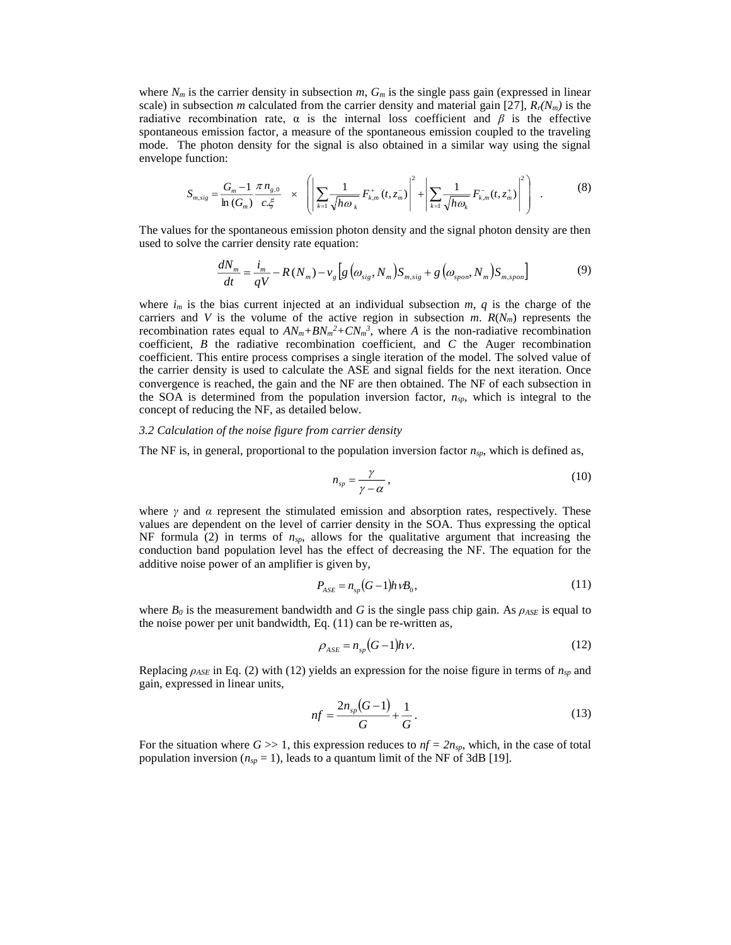where  $N_m$  is the carrier density in subsection  $m$ ,  $G_m$  is the single pass gain (expressed in linear scale) in subsection *m* calculated from the carrier density and material gain [27],  $R_f(N_m)$  is the radiative recombination rate,  $\alpha$  is the internal loss coefficient and  $\beta$  is the effective spontaneous emission factor, a measure of the spontaneous emission coupled to the traveling mode. The photon density for the signal is also obtained in a similar way using the signal envelope function:

$$
S_{m,sig} = \frac{G_m - 1}{\ln(G_m)} \frac{\pi n_{g,0}}{c.\xi} \times \left( \left| \sum_{k=1} \frac{1}{\sqrt{h\omega_k}} F^+_{k,m}(t, z_m) \right|^2 + \left| \sum_{k=1} \frac{1}{\sqrt{h\omega_k}} F^-_{k,m}(t, z_m^+) \right|^2 \right) . \tag{8}
$$

The values for the spontaneous emission photon density and the signal photon density are then used to solve the carrier density rate equation:

$$
\frac{dN_m}{dt} = \frac{i_m}{qV} - R(N_m) - \nu_g \left[ g\left(\omega_{sig}, N_m\right) S_{m,sig} + g\left(\omega_{spon}, N_m\right) S_{m,spon} \right] \tag{9}
$$

where  $i_m$  is the bias current injected at an individual subsection  $m$ ,  $q$  is the charge of the carriers and *V* is the volume of the active region in subsection *m*.  $R(N_m)$  represents the recombination rates equal to  $AN_m + BN_m^2 + CN_m^3$ , where *A* is the non-radiative recombination coefficient, *B* the radiative recombination coefficient, and *C* the Auger recombination coefficient. This entire process comprises a single iteration of the model. The solved value of the carrier density is used to calculate the ASE and signal fields for the next iteration. Once convergence is reached, the gain and the NF are then obtained. The NF of each subsection in the SOA is determined from the population inversion factor, *nsp,* which is integral to the concept of reducing the NF, as detailed below.

#### *3.2 Calculation of the noise figure from carrier density*

The NF is, in general, proportional to the population inversion factor *nsp*, which is defined as,

$$
n_{sp} = \frac{\gamma}{\gamma - \alpha},\tag{10}
$$

where  $\gamma$  and  $\alpha$  represent the stimulated emission and absorption rates, respectively. These values are dependent on the level of carrier density in the SOA. Thus expressing the optical NF formula (2) in terms of  $n_{sp}$ , allows for the qualitative argument that increasing the conduction band population level has the effect of decreasing the NF. The equation for the additive noise power of an amplifier is given by,

$$
P_{\rm ASE} = n_{sp}(G - 1)h\nu B_0,\tag{11}
$$

where  $B_0$  is the measurement bandwidth and *G* is the single pass chip gain. As  $\rho_{ASE}$  is equal to the noise power per unit bandwidth, Eq. (11) can be re-written as,

$$
\rho_{ASE} = n_{sp}(G-1)h\nu.
$$
\n(12)

Replacing  $\rho_{ASE}$  in Eq. (2) with (12) yields an expression for the noise figure in terms of  $n_{sp}$  and gain, expressed in linear units,

$$
nf = \frac{2n_{sp}(G-1)}{G} + \frac{1}{G}.
$$
\n(13)

For the situation where  $G \gg 1$ , this expression reduces to  $nf = 2n_{sp}$ , which, in the case of total population inversion ( $n_{sp} = 1$ ), leads to a quantum limit of the NF of 3dB [19].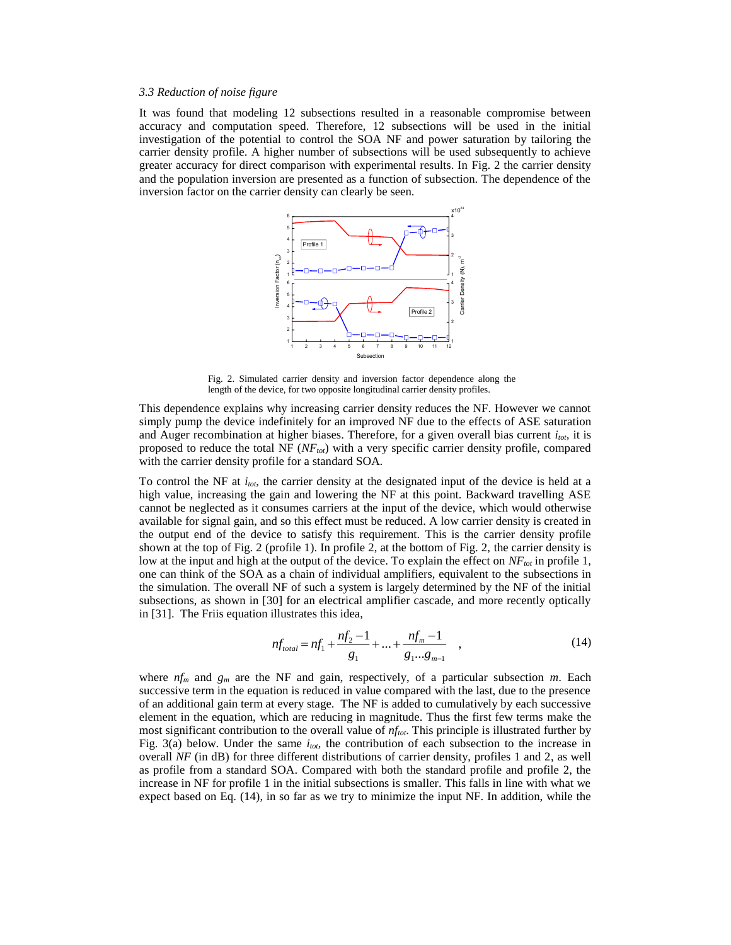# *3.3 Reduction of noise figure*

It was found that modeling 12 subsections resulted in a reasonable compromise between accuracy and computation speed. Therefore, 12 subsections will be used in the initial investigation of the potential to control the SOA NF and power saturation by tailoring the carrier density profile. A higher number of subsections will be used subsequently to achieve greater accuracy for direct comparison with experimental results. In Fig. 2 the carrier density and the population inversion are presented as a function of subsection. The dependence of the inversion factor on the carrier density can clearly be seen.



Fig. 2. Simulated carrier density and inversion factor dependence along the length of the device, for two opposite longitudinal carrier density profiles.

This dependence explains why increasing carrier density reduces the NF. However we cannot simply pump the device indefinitely for an improved NF due to the effects of ASE saturation and Auger recombination at higher biases. Therefore, for a given overall bias current *i*<sub>tot</sub>, it is proposed to reduce the total NF (*NFtot*) with a very specific carrier density profile, compared with the carrier density profile for a standard SOA.

To control the NF at *itot*, the carrier density at the designated input of the device is held at a high value, increasing the gain and lowering the NF at this point. Backward travelling ASE cannot be neglected as it consumes carriers at the input of the device, which would otherwise available for signal gain, and so this effect must be reduced. A low carrier density is created in the output end of the device to satisfy this requirement. This is the carrier density profile shown at the top of Fig. 2 (profile 1). In profile 2, at the bottom of Fig. 2, the carrier density is low at the input and high at the output of the device. To explain the effect on *NFtot* in profile 1, one can think of the SOA as a chain of individual amplifiers, equivalent to the subsections in the simulation. The overall NF of such a system is largely determined by the NF of the initial subsections, as shown in [30] for an electrical amplifier cascade, and more recently optically in [31]. The Friis equation illustrates this idea,

$$
nf_{total} = nf_1 + \frac{nf_2 - 1}{g_1} + \dots + \frac{nf_m - 1}{g_1 \dots g_{m-1}} \quad , \tag{14}
$$

where *nf<sup>m</sup>* and *g<sup>m</sup>* are the NF and gain, respectively, of a particular subsection *m*. Each successive term in the equation is reduced in value compared with the last, due to the presence of an additional gain term at every stage. The NF is added to cumulatively by each successive element in the equation, which are reducing in magnitude. Thus the first few terms make the most significant contribution to the overall value of *nftot*. This principle is illustrated further by Fig. 3(a) below. Under the same  $i_{\alpha\beta}$  the contribution of each subsection to the increase in overall *NF* (in dB) for three different distributions of carrier density, profiles 1 and 2, as well as profile from a standard SOA. Compared with both the standard profile and profile 2, the increase in NF for profile 1 in the initial subsections is smaller. This falls in line with what we expect based on Eq. (14), in so far as we try to minimize the input NF. In addition, while the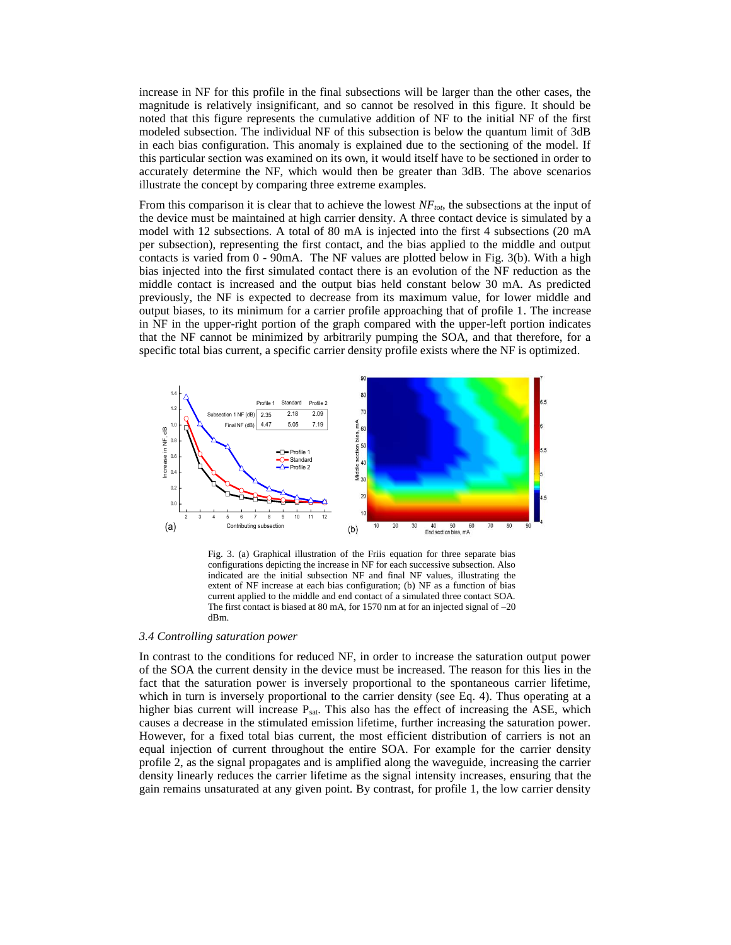increase in NF for this profile in the final subsections will be larger than the other cases, the magnitude is relatively insignificant, and so cannot be resolved in this figure. It should be noted that this figure represents the cumulative addition of NF to the initial NF of the first modeled subsection. The individual NF of this subsection is below the quantum limit of 3dB in each bias configuration. This anomaly is explained due to the sectioning of the model. If this particular section was examined on its own, it would itself have to be sectioned in order to accurately determine the NF, which would then be greater than 3dB. The above scenarios illustrate the concept by comparing three extreme examples.

From this comparison it is clear that to achieve the lowest *NFtot*, the subsections at the input of the device must be maintained at high carrier density. A three contact device is simulated by a model with 12 subsections. A total of 80 mA is injected into the first 4 subsections (20 mA per subsection), representing the first contact, and the bias applied to the middle and output contacts is varied from  $0 - 90$  mA. The NF values are plotted below in Fig. 3(b). With a high bias injected into the first simulated contact there is an evolution of the NF reduction as the middle contact is increased and the output bias held constant below 30 mA. As predicted previously, the NF is expected to decrease from its maximum value, for lower middle and output biases, to its minimum for a carrier profile approaching that of profile 1. The increase in NF in the upper-right portion of the graph compared with the upper-left portion indicates that the NF cannot be minimized by arbitrarily pumping the SOA, and that therefore, for a specific total bias current, a specific carrier density profile exists where the NF is optimized.



Fig. 3. (a) Graphical illustration of the Friis equation for three separate bias configurations depicting the increase in NF for each successive subsection. Also indicated are the initial subsection NF and final NF values, illustrating the extent of NF increase at each bias configuration; (b) NF as a function of bias current applied to the middle and end contact of a simulated three contact SOA. The first contact is biased at 80 mA, for 1570 nm at for an injected signal of –20 dBm.

# *3.4 Controlling saturation power*

In contrast to the conditions for reduced NF, in order to increase the saturation output power of the SOA the current density in the device must be increased. The reason for this lies in the fact that the saturation power is inversely proportional to the spontaneous carrier lifetime, which in turn is inversely proportional to the carrier density (see Eq. 4). Thus operating at a higher bias current will increase P<sub>sat</sub>. This also has the effect of increasing the ASE, which causes a decrease in the stimulated emission lifetime, further increasing the saturation power. However, for a fixed total bias current, the most efficient distribution of carriers is not an equal injection of current throughout the entire SOA. For example for the carrier density profile 2, as the signal propagates and is amplified along the waveguide, increasing the carrier density linearly reduces the carrier lifetime as the signal intensity increases, ensuring that the gain remains unsaturated at any given point. By contrast, for profile 1, the low carrier density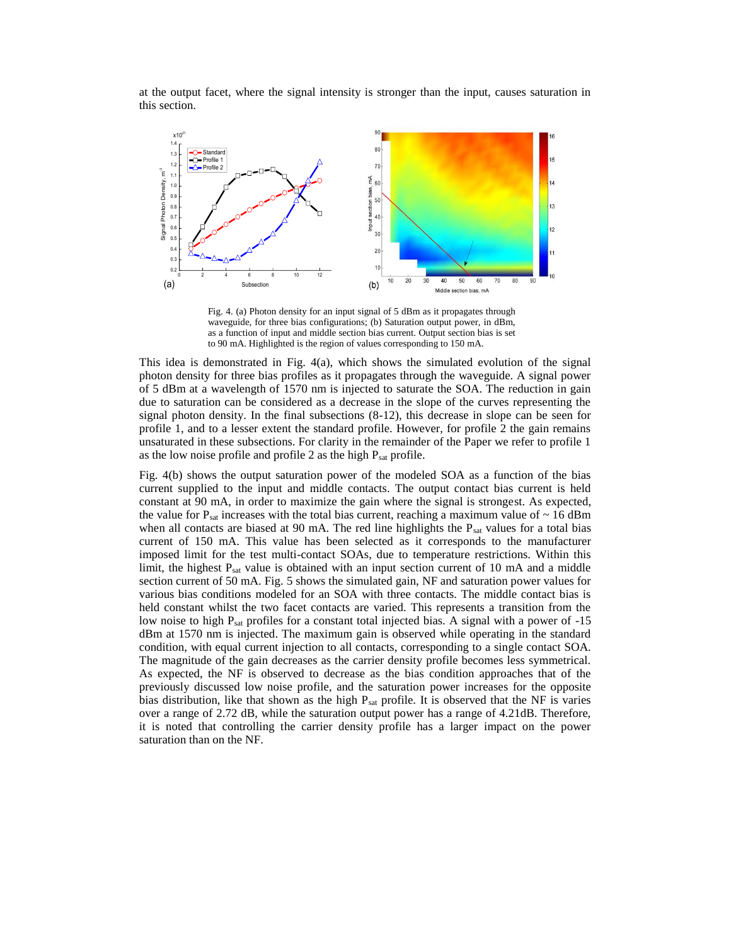at the output facet, where the signal intensity is stronger than the input, causes saturation in this section.



Fig. 4. (a) Photon density for an input signal of 5 dBm as it propagates through waveguide, for three bias configurations; (b) Saturation output power, in dBm, as a function of input and middle section bias current. Output section bias is set to 90 mA. Highlighted is the region of values corresponding to 150 mA.

This idea is demonstrated in Fig. 4(a), which shows the simulated evolution of the signal photon density for three bias profiles as it propagates through the waveguide. A signal power of 5 dBm at a wavelength of 1570 nm is injected to saturate the SOA. The reduction in gain due to saturation can be considered as a decrease in the slope of the curves representing the signal photon density. In the final subsections (8-12), this decrease in slope can be seen for profile 1, and to a lesser extent the standard profile. However, for profile 2 the gain remains unsaturated in these subsections. For clarity in the remainder of the Paper we refer to profile 1 as the low noise profile and profile 2 as the high  $P_{sat}$  profile.

Fig. 4(b) shows the output saturation power of the modeled SOA as a function of the bias current supplied to the input and middle contacts. The output contact bias current is held constant at 90 mA, in order to maximize the gain where the signal is strongest. As expected, the value for  $P_{sat}$  increases with the total bias current, reaching a maximum value of  $\sim 16$  dBm when all contacts are biased at 90 mA. The red line highlights the  $P_{sat}$  values for a total bias current of 150 mA. This value has been selected as it corresponds to the manufacturer imposed limit for the test multi-contact SOAs, due to temperature restrictions. Within this limit, the highest  $P_{sat}$  value is obtained with an input section current of 10 mA and a middle section current of 50 mA. Fig. 5 shows the simulated gain, NF and saturation power values for various bias conditions modeled for an SOA with three contacts. The middle contact bias is held constant whilst the two facet contacts are varied. This represents a transition from the low noise to high  $P_{sat}$  profiles for a constant total injected bias. A signal with a power of  $-15$ dBm at 1570 nm is injected. The maximum gain is observed while operating in the standard condition, with equal current injection to all contacts, corresponding to a single contact SOA. The magnitude of the gain decreases as the carrier density profile becomes less symmetrical. As expected, the NF is observed to decrease as the bias condition approaches that of the previously discussed low noise profile, and the saturation power increases for the opposite bias distribution, like that shown as the high  $P_{sat}$  profile. It is observed that the NF is varies over a range of 2.72 dB, while the saturation output power has a range of 4.21dB. Therefore, it is noted that controlling the carrier density profile has a larger impact on the power saturation than on the NF.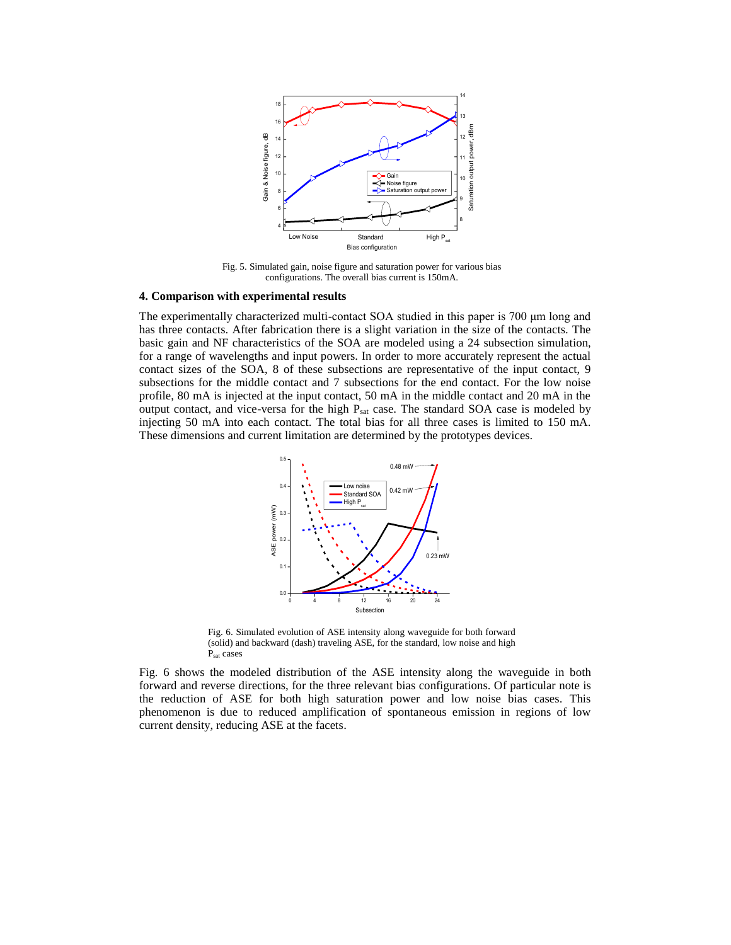

Fig. 5. Simulated gain, noise figure and saturation power for various bias configurations. The overall bias current is 150mA.

# **4. Comparison with experimental results**

The experimentally characterized multi-contact SOA studied in this paper is 700 μm long and has three contacts. After fabrication there is a slight variation in the size of the contacts. The basic gain and NF characteristics of the SOA are modeled using a 24 subsection simulation, for a range of wavelengths and input powers. In order to more accurately represent the actual contact sizes of the SOA, 8 of these subsections are representative of the input contact, 9 subsections for the middle contact and 7 subsections for the end contact. For the low noise profile, 80 mA is injected at the input contact, 50 mA in the middle contact and 20 mA in the output contact, and vice-versa for the high P<sub>sat</sub> case. The standard SOA case is modeled by injecting 50 mA into each contact. The total bias for all three cases is limited to 150 mA. These dimensions and current limitation are determined by the prototypes devices.



Fig. 6. Simulated evolution of ASE intensity along waveguide for both forward (solid) and backward (dash) traveling ASE, for the standard, low noise and high Psat cases

Fig. 6 shows the modeled distribution of the ASE intensity along the waveguide in both forward and reverse directions, for the three relevant bias configurations. Of particular note is the reduction of ASE for both high saturation power and low noise bias cases. This phenomenon is due to reduced amplification of spontaneous emission in regions of low current density, reducing ASE at the facets.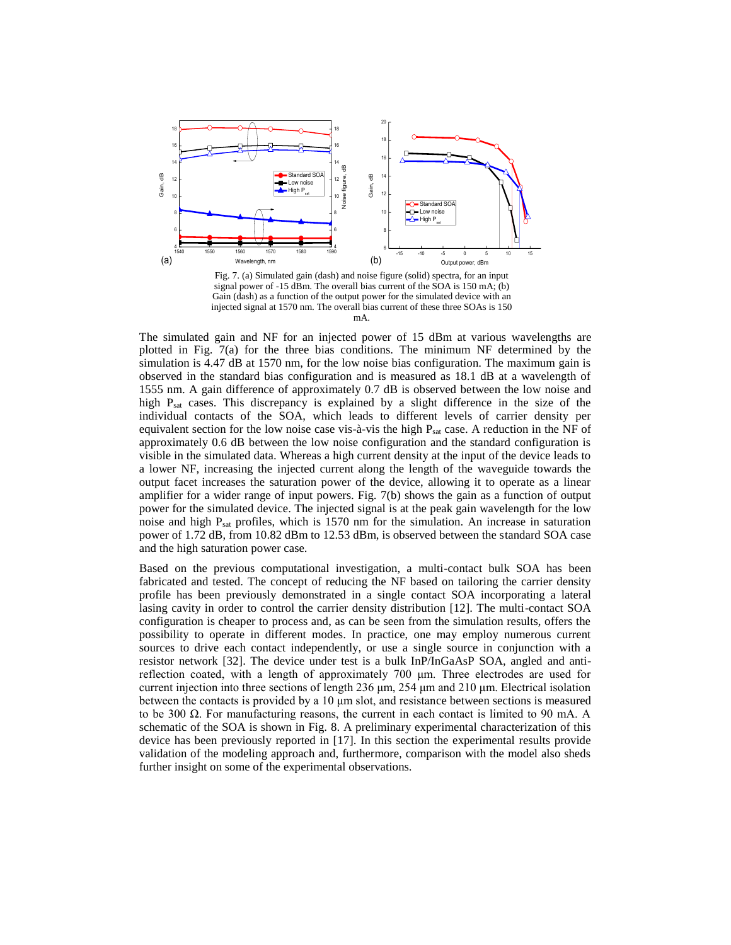

Fig. 7. (a) Simulated gain (dash) and noise figure (solid) spectra, for an input signal power of -15 dBm. The overall bias current of the SOA is 150 mA; (b) Gain (dash) as a function of the output power for the simulated device with an injected signal at 1570 nm. The overall bias current of these three SOAs is 150 mA.

The simulated gain and NF for an injected power of 15 dBm at various wavelengths are plotted in Fig. 7(a) for the three bias conditions. The minimum NF determined by the simulation is 4.47 dB at 1570 nm, for the low noise bias configuration. The maximum gain is observed in the standard bias configuration and is measured as 18.1 dB at a wavelength of 1555 nm. A gain difference of approximately 0.7 dB is observed between the low noise and high P<sub>sat</sub> cases. This discrepancy is explained by a slight difference in the size of the individual contacts of the SOA, which leads to different levels of carrier density per equivalent section for the low noise case vis-à-vis the high P<sub>sat</sub> case. A reduction in the NF of approximately 0.6 dB between the low noise configuration and the standard configuration is visible in the simulated data. Whereas a high current density at the input of the device leads to a lower NF, increasing the injected current along the length of the waveguide towards the output facet increases the saturation power of the device, allowing it to operate as a linear amplifier for a wider range of input powers. Fig. 7(b) shows the gain as a function of output power for the simulated device. The injected signal is at the peak gain wavelength for the low noise and high  $P_{sat}$  profiles, which is 1570 nm for the simulation. An increase in saturation power of 1.72 dB, from 10.82 dBm to 12.53 dBm, is observed between the standard SOA case and the high saturation power case.

Based on the previous computational investigation, a multi-contact bulk SOA has been fabricated and tested. The concept of reducing the NF based on tailoring the carrier density profile has been previously demonstrated in a single contact SOA incorporating a lateral lasing cavity in order to control the carrier density distribution [12]. The multi-contact SOA configuration is cheaper to process and, as can be seen from the simulation results, offers the possibility to operate in different modes. In practice, one may employ numerous current sources to drive each contact independently, or use a single source in conjunction with a resistor network [32]. The device under test is a bulk InP/InGaAsP SOA, angled and antireflection coated, with a length of approximately 700 μm. Three electrodes are used for current injection into three sections of length 236 μm, 254 μm and 210 μm. Electrical isolation between the contacts is provided by a 10 μm slot, and resistance between sections is measured to be 300  $\Omega$ . For manufacturing reasons, the current in each contact is limited to 90 mA. A schematic of the SOA is shown in Fig. 8. A preliminary experimental characterization of this device has been previously reported in [17]. In this section the experimental results provide validation of the modeling approach and, furthermore, comparison with the model also sheds further insight on some of the experimental observations.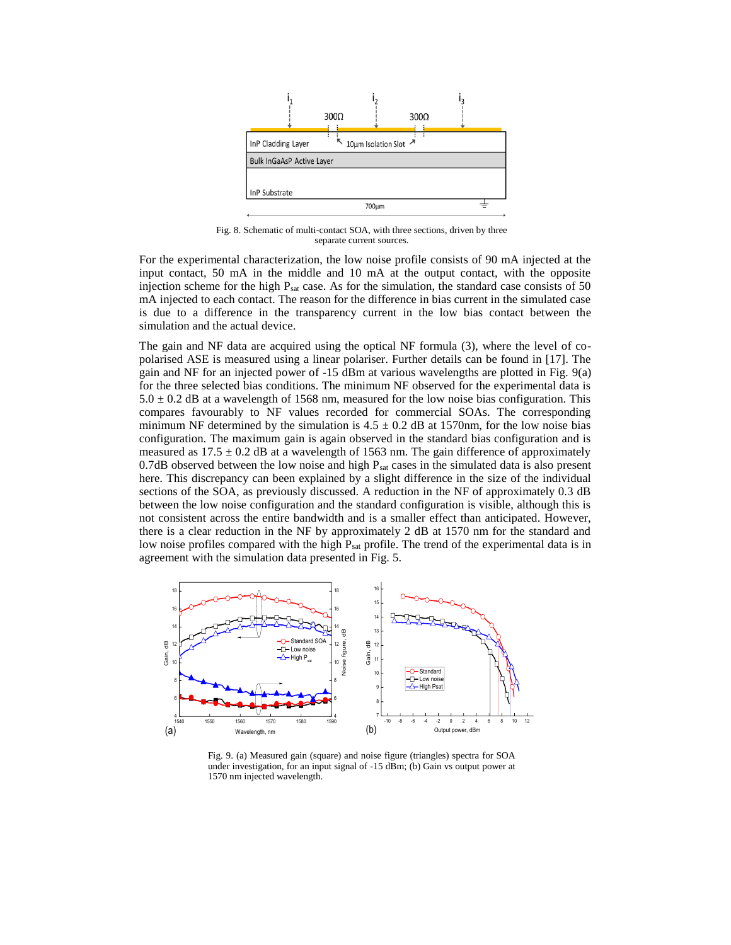

Fig. 8. Schematic of multi-contact SOA, with three sections, driven by three separate current sources.

For the experimental characterization, the low noise profile consists of 90 mA injected at the input contact, 50 mA in the middle and 10 mA at the output contact, with the opposite injection scheme for the high  $P_{sat}$  case. As for the simulation, the standard case consists of 50 mA injected to each contact. The reason for the difference in bias current in the simulated case is due to a difference in the transparency current in the low bias contact between the simulation and the actual device.

The gain and NF data are acquired using the optical NF formula (3), where the level of copolarised ASE is measured using a linear polariser. Further details can be found in [17]. The gain and NF for an injected power of -15 dBm at various wavelengths are plotted in Fig. 9(a) for the three selected bias conditions. The minimum NF observed for the experimental data is  $5.0 \pm 0.2$  dB at a wavelength of 1568 nm, measured for the low noise bias configuration. This compares favourably to NF values recorded for commercial SOAs. The corresponding minimum NF determined by the simulation is  $4.5 \pm 0.2$  dB at 1570nm, for the low noise bias configuration. The maximum gain is again observed in the standard bias configuration and is measured as  $17.5 \pm 0.2$  dB at a wavelength of 1563 nm. The gain difference of approximately 0.7dB observed between the low noise and high  $P_{sat}$  cases in the simulated data is also present here. This discrepancy can been explained by a slight difference in the size of the individual sections of the SOA, as previously discussed. A reduction in the NF of approximately 0.3 dB between the low noise configuration and the standard configuration is visible, although this is not consistent across the entire bandwidth and is a smaller effect than anticipated. However, there is a clear reduction in the NF by approximately 2 dB at 1570 nm for the standard and low noise profiles compared with the high  $P_{sat}$  profile. The trend of the experimental data is in agreement with the simulation data presented in Fig. 5.



Fig. 9. (a) Measured gain (square) and noise figure (triangles) spectra for SOA under investigation, for an input signal of -15 dBm; (b) Gain vs output power at 1570 nm injected wavelength.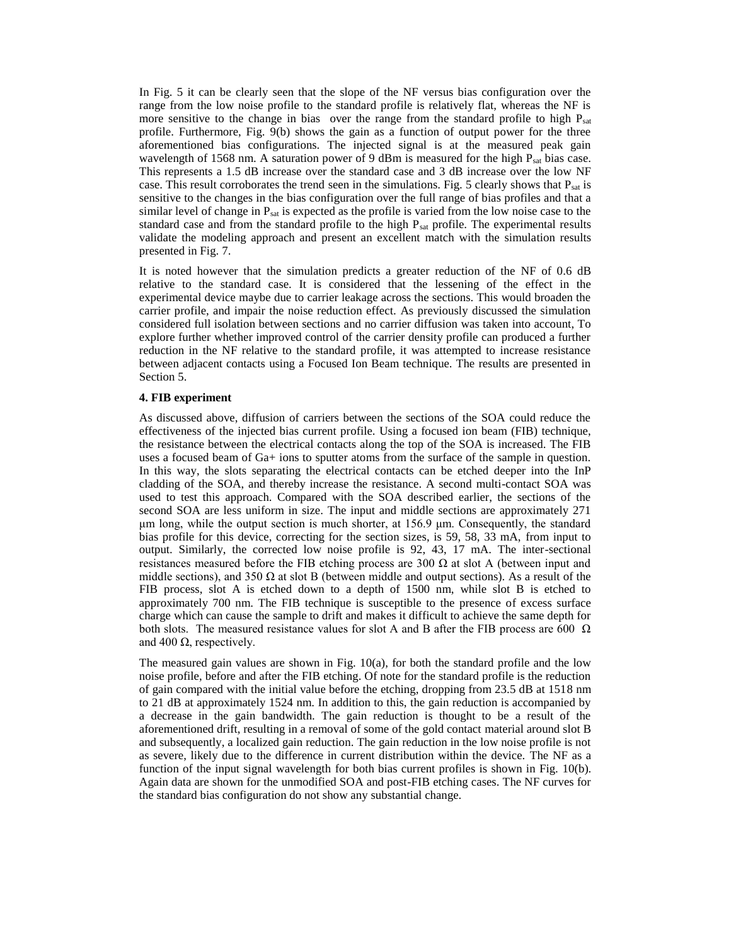In Fig. 5 it can be clearly seen that the slope of the NF versus bias configuration over the range from the low noise profile to the standard profile is relatively flat, whereas the NF is more sensitive to the change in bias over the range from the standard profile to high P<sub>sat</sub> profile. Furthermore, Fig. 9(b) shows the gain as a function of output power for the three aforementioned bias configurations. The injected signal is at the measured peak gain wavelength of 1568 nm. A saturation power of 9 dBm is measured for the high P<sub>sat</sub> bias case. This represents a 1.5 dB increase over the standard case and 3 dB increase over the low NF case. This result corroborates the trend seen in the simulations. Fig. 5 clearly shows that P<sub>sat</sub> is sensitive to the changes in the bias configuration over the full range of bias profiles and that a similar level of change in  $P_{sat}$  is expected as the profile is varied from the low noise case to the standard case and from the standard profile to the high P<sub>sat</sub> profile. The experimental results validate the modeling approach and present an excellent match with the simulation results presented in Fig. 7.

It is noted however that the simulation predicts a greater reduction of the NF of 0.6 dB relative to the standard case. It is considered that the lessening of the effect in the experimental device maybe due to carrier leakage across the sections. This would broaden the carrier profile, and impair the noise reduction effect. As previously discussed the simulation considered full isolation between sections and no carrier diffusion was taken into account, To explore further whether improved control of the carrier density profile can produced a further reduction in the NF relative to the standard profile, it was attempted to increase resistance between adjacent contacts using a Focused Ion Beam technique. The results are presented in Section 5.

# **4. FIB experiment**

As discussed above, diffusion of carriers between the sections of the SOA could reduce the effectiveness of the injected bias current profile. Using a focused ion beam (FIB) technique, the resistance between the electrical contacts along the top of the SOA is increased. The FIB uses a focused beam of Ga+ ions to sputter atoms from the surface of the sample in question. In this way, the slots separating the electrical contacts can be etched deeper into the InP cladding of the SOA, and thereby increase the resistance. A second multi-contact SOA was used to test this approach. Compared with the SOA described earlier, the sections of the second SOA are less uniform in size. The input and middle sections are approximately 271 μm long, while the output section is much shorter, at 156.9 μm. Consequently, the standard bias profile for this device, correcting for the section sizes, is 59, 58, 33 mA, from input to output. Similarly, the corrected low noise profile is 92, 43, 17 mA. The inter-sectional resistances measured before the FIB etching process are 300  $\Omega$  at slot A (between input and middle sections), and 350  $\Omega$  at slot B (between middle and output sections). As a result of the FIB process, slot A is etched down to a depth of 1500 nm, while slot B is etched to approximately 700 nm. The FIB technique is susceptible to the presence of excess surface charge which can cause the sample to drift and makes it difficult to achieve the same depth for both slots. The measured resistance values for slot A and B after the FIB process are 600  $\Omega$ and 400  $\Omega$ , respectively.

The measured gain values are shown in Fig. 10(a), for both the standard profile and the low noise profile, before and after the FIB etching. Of note for the standard profile is the reduction of gain compared with the initial value before the etching, dropping from 23.5 dB at 1518 nm to 21 dB at approximately 1524 nm. In addition to this, the gain reduction is accompanied by a decrease in the gain bandwidth. The gain reduction is thought to be a result of the aforementioned drift, resulting in a removal of some of the gold contact material around slot B and subsequently, a localized gain reduction. The gain reduction in the low noise profile is not as severe, likely due to the difference in current distribution within the device. The NF as a function of the input signal wavelength for both bias current profiles is shown in Fig. 10(b). Again data are shown for the unmodified SOA and post-FIB etching cases. The NF curves for the standard bias configuration do not show any substantial change.